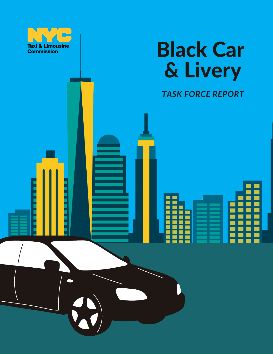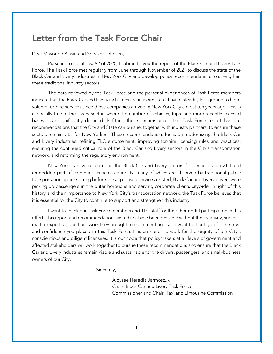## Letter from the Task Force Chair

Dear Mayor de Blasio and Speaker Johnson,

Pursuant to Local Law 92 of 2020, I submit to you the report of the Black Car and Livery Task Force. The Task Force met regularly from June through November of 2021 to discuss the state of the Black Car and Livery industries in New York City and develop policy recommendations to strengthen these traditional industry sectors.

The data reviewed by the Task Force and the personal experiences of Task Force members indicate that the Black Car and Livery industries are in a dire state, having steadily lost ground to highvolume for-hire services since those companies arrived in New York City almost ten years ago. This is especially true in the Livery sector, where the number of vehicles, trips, and more recently licensed bases have significantly declined. Befitting these circumstances, this Task Force report lays out recommendations that the City and State can pursue, together with industry partners, to ensure these sectors remain vital for New Yorkers. These recommendations focus on modernizing the Black Car and Livery industries, refining TLC enforcement, improving for-hire licensing rules and practices, ensuring the continued critical role of the Black Car and Livery sectors in the City's transportation network, and reforming the regulatory environment.

New Yorkers have relied upon the Black Car and Livery sectors for decades as a vital and embedded part of communities across our City, many of which are ill-served by traditional public transportation options. Long before the app-based services existed, Black Car and Livery drivers were picking up passengers in the outer boroughs and serving corporate clients citywide. In light of this history and their importance to New York City's transportation network, the Task Force believes that it is essential for the City to continue to support and strengthen this industry.

I want to thank our Task Force members and TLC staff for their thoughtful participation in this effort. This report and recommendations would not have been possible without the creativity, subjectmatter expertise, and hard work they brought to each meeting. I also want to thank you for the trust and confidence you placed in this Task Force. It is an honor to work for the dignity of our City's conscientious and diligent licensees. It is our hope that policymakers at all levels of government and affected stakeholders will work together to pursue these recommendations and ensure that the Black Car and Livery industries remain viable and sustainable for the drivers, passengers, and small-business owners of our City.

Sincerely,

Aloysee Heredia Jarmoszuk Chair, Black Car and Livery Task Force Commissioner and Chair, Taxi and Limousine Commission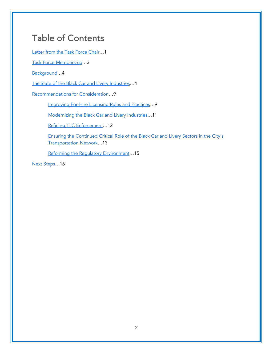# Table of Contents

Letter from the Task Force Chair…1

Task Force Membership…3

Background…4

The State of the Black Car and Livery Industries…4

Recommendations for Consideration…9

Improving For-Hire Licensing Rules and Practices…9

Modernizing the Black Car and Livery Industries…11

Refining TLC Enforcement…12

Ensuring the Continued Critical Role of the Black Car and Livery Sectors in the City's Transportation Network…13

Reforming the Regulatory Environment...15

Next Steps…16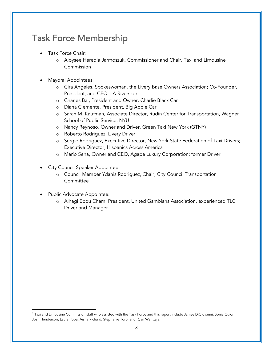# Task Force Membership

- Task Force Chair:
	- o Aloysee Heredia Jarmoszuk, Commissioner and Chair, Taxi and Limousine  $Common<sup>1</sup>$
- Mayoral Appointees:
	- o Cira Angeles, Spokeswoman, the Livery Base Owners Association; Co-Founder, President, and CEO, LA Riverside
	- o Charles Bai, President and Owner, Charlie Black Car
	- o Diana Clemente, President, Big Apple Car
	- o Sarah M. Kaufman, Associate Director, Rudin Center for Transportation, Wagner School of Public Service, NYU
	- o Nancy Reynoso, Owner and Driver, Green Taxi New York (GTNY)
	- o Roberto Rodriguez, Livery Driver
	- o Sergio Rodriguez, Executive Director, New York State Federation of Taxi Drivers; Executive Director, Hispanics Across America
	- o Mario Sena, Owner and CEO, Agape Luxury Corporation; former Driver
- City Council Speaker Appointee:
	- o Council Member Ydanis Rodriguez, Chair, City Council Transportation **Committee**
- Public Advocate Appointee:
	- o Alhagi Ebou Cham, President, United Gambians Association, experienced TLC Driver and Manager

<sup>1</sup> Taxi and Limousine Commission staff who assisted with the Task Force and this report include James DiGiovanni, Sonia Guior, Josh Henderson, Laura Popa, Aisha Richard, Stephanie Toro, and Ryan Wanttaja.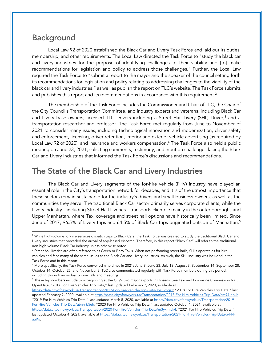## Background

Local Law 92 of 2020 established the Black Car and Livery Task Force and laid out its duties, membership, and other requirements. The Local Law directed the Task Force to "study the black car and livery industries for the purpose of identifying challenges to their viability and [to] make recommendations for legislation and policy to address those challenges." Further, the Local Law required the Task Force to "submit a report to the mayor and the speaker of the council setting forth its recommendations for legislation and policy relating to addressing challenges to the viability of the black car and livery industries," as well as publish the report on TLC's website. The Task Force submits and publishes this report and its recommendations in accordance with this requirement. $2$ 

The membership of the Task Force includes the Commissioner and Chair of TLC, the Chair of the City Council's Transportation Committee, and industry experts and veterans, including Black Car and Livery base owners, licensed TLC Drivers including a Street Hail Livery (SHL) Driver, <sup>3</sup> and a transportation researcher and professor. The Task Force met regularly from June to November of 2021 to consider many issues, including technological innovation and modernization, driver safety and enforcement, licensing, driver retention, interior and exterior vehicle advertising (as required by Local Law 92 of 2020), and insurance and workers compensation. <sup>4</sup> The Task Force also held a public meeting on June 23, 2021, soliciting comments, testimony, and input on challenges facing the Black Car and Livery industries that informed the Task Force's discussions and recommendations.

# The State of the Black Car and Livery Industries

The Black Car and Livery segments of the for-hire vehicle (FHV) industry have played an essential role in the City's transportation network for decades, and it is of the utmost importance that these sectors remain sustainable for the industry's drivers and small-business owners, as well as the communities they serve. The traditional Black Car sector primarily serves corporate clients, while the Livery industry—including Street Hail Liveries—transports clientele mainly in the outer boroughs and Upper Manhattan, where Taxi coverage and street hail options have historically been limited. Since June of 2017, 96.5% of Livery trips and 64.5% of Black Car trips originated outside of Manhattan. 5

 $^5$  These trip numbers include trips beginning at the City's two major airports in Queens. See Taxi and Limousine Commission NYC OpenData, "2017 For Hire Vehicles Trip Data," last updated February 7, 2020, available at

https://data.cityofnewyork.us/Transportation/2017-For-Hire-Vehicle-Trip-Data/avz8-mqzz; "2018 For Hire Vehicles Trip Data," last updated February 7, 2020, available at https://data.cityofnewyork.us/Transportation/2018-For-Hire-Vehicles-Trip-Data/am94-epxh; "2019 For Hire Vehicles Trip Data," last updated March 5, 2020, available at https://data.cityofnewyork.us/Transportation/2019-For-Hire-Vehicles-Trip-Data/u6nh-b56h; "2020 For Hire Vehicles Trip Data," last updated October 1, 2021, available at https://data.cityofnewyork.us/Transportation/2020-For-Hire-Vehicles-Trip-Data/m3yx-mvk4; "2021 For Hire Vehicles Trip Data," last updated October 4, 2021, available at https://data.cityofnewyork.us/Transportation/2021-For-Hire-Vehicles-Trip-Data/a444au9b.

<sup>&</sup>lt;sup>2</sup> While high-volume for-hire services dispatch trips to Black Cars, the Task Force was created to study the traditional Black Car and Livery industries that preceded the arrival of app-based dispatch. Therefore, in this report "Black Car" will refer to the traditional, non-high-volume Black Car industry unless otherwise noted.

<sup>&</sup>lt;sup>3</sup> Street hail liveries are often referred to as Green or Boro Taxis. When not performing street hails, SHLs operate as for-hire vehicles and face many of the same issues as the Black Car and Livery industries. As such, the SHL industry was included in the Task Force and in this report.

<sup>4</sup> More specifically, the Task Force convened nine times in 2021: June 9, June 23, July 13, August 3, September 14, September 28, October 14, October 25, and November 8. TLC also communicated regularly with Task Force members during this period, including through individual phone calls and meetings.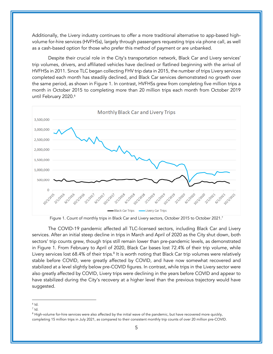Additionally, the Livery industry continues to offer a more traditional alternative to app-based highvolume for-hire services (HVFHSs), largely through passengers requesting trips via phone call, as well as a cash-based option for those who prefer this method of payment or are unbanked.

Despite their crucial role in the City's transportation network, Black Car and Livery services' trip volumes, drivers, and affiliated vehicles have declined or flatlined beginning with the arrival of HVFHSs in 2011. Since TLC began collecting FHV trip data in 2015, the number of trips Livery services completed each month has steadily declined, and Black Car services demonstrated no growth over the same period, as shown in Figure 1. In contrast, HVFHSs grew from completing five million trips a month in October 2015 to completing more than 20 million trips each month from October 2019 until February 2020. 6



Figure 1. Count of monthly trips in Black Car and Livery sectors, October 2015 to October 2021. 7

The COVID-19 pandemic affected all TLC-licensed sectors, including Black Car and Livery services. After an initial steep decline in trips in March and April of 2020 as the City shut down, both sectors' trip counts grew, though trips still remain lower than pre-pandemic levels, as demonstrated in Figure 1. From February to April of 2020, Black Car bases lost 72.4% of their trip volume, while Livery services lost 68.4% of their trips.<sup>8</sup> It is worth noting that Black Car trip volumes were relatively stable before COVID, were greatly affected by COVID, and have now somewhat recovered and stabilized at a level slightly below pre-COVID figures. In contrast, while trips in the Livery sector were also greatly affected by COVID, Livery trips were declining in the years before COVID and appear to have stabilized during the City's recovery at a higher level than the previous trajectory would have suggested.

 $6$  Id.

 $<sup>7</sup>$  Id.</sup>

<sup>&</sup>lt;sup>8</sup> High-volume for-hire services were also affected by the initial wave of the pandemic, but have recovered more quickly, completing 15 million trips in July 2021, as compared to their consistent monthly trip counts of over 20 million pre-COVID.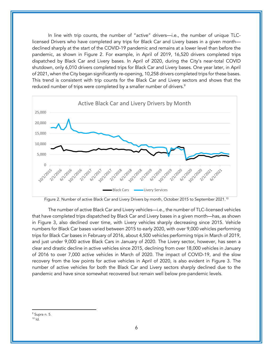In line with trip counts, the number of "active" drivers—i.e., the number of unique TLClicensed Drivers who have completed any trips for Black Car and Livery bases in a given month declined sharply at the start of the COVID-19 pandemic and remains at a lower level than before the pandemic, as shown in Figure 2. For example, in April of 2019, 16,520 drivers completed trips dispatched by Black Car and Livery bases. In April of 2020, during the City's near-total COVID shutdown, only 6,010 drivers completed trips for Black Car and Livery bases. One year later, in April of 2021, when the City began significantly re-opening, 10,258 drivers completed trips for these bases. This trend is consistent with trip counts for the Black Car and Livery sectors and shows that the reduced number of trips were completed by a smaller number of drivers. 9



Figure 2. Number of active Black Car and Livery Drivers by month, October 2015 to September 2021. 10

The number of active Black Car and Livery vehicles—i.e., the number of TLC-licensed vehicles that have completed trips dispatched by Black Car and Livery bases in a given month—has, as shown in Figure 3, also declined over time, with Livery vehicles sharply decreasing since 2015. Vehicle numbers for Black Car bases varied between 2015 to early 2020, with over 9,000 vehicles performing trips for Black Car bases in February of 2016, about 4,500 vehicles performing trips in March of 2019, and just under 9,000 active Black Cars in January of 2020. The Livery sector, however, has seen a clear and drastic decline in active vehicles since 2015, declining from over 18,000 vehicles in January of 2016 to over 7,000 active vehicles in March of 2020. The impact of COVID-19, and the slow recovery from the low points for active vehicles in April of 2020, is also evident in Figure 3. The number of active vehicles for both the Black Car and Livery sectors sharply declined due to the pandemic and have since somewhat recovered but remain well below pre-pandemic levels.

<sup>9</sup> Supra n. 5.  $10$  Id.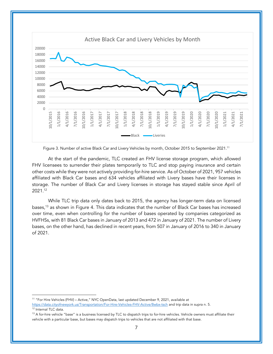

Figure 3. Number of active Black Car and Livery Vehicles by month, October 2015 to September 2021.11

At the start of the pandemic, TLC created an FHV license storage program, which allowed FHV licensees to surrender their plates temporarily to TLC and stop paying insurance and certain other costs while they were not actively providing for-hire service. As of October of 2021, 957 vehicles affiliated with Black Car bases and 634 vehicles affiliated with Livery bases have their licenses in storage. The number of Black Car and Livery licenses in storage has stayed stable since April of 2021.12

While TLC trip data only dates back to 2015, the agency has longer-term data on licensed bases,<sup>13</sup> as shown in Figure 4. This data indicates that the number of Black Car bases has increased over time, even when controlling for the number of bases operated by companies categorized as HVFHSs, with 81 Black Car bases in January of 2013 and 472 in January of 2021. The number of Livery bases, on the other hand, has declined in recent years, from 507 in January of 2016 to 340 in January of 2021.

<sup>&</sup>lt;sup>11</sup> "For Hire Vehicles (FHV) – Active," NYC OpenData, last updated December 9, 2021, available at https://data.cityofnewyork.us/Transportation/For-Hire-Vehicles-FHV-Active/8wbx-tsch and trip data in supra n. 5. <sup>12</sup> Internal TLC data.

 $13$  A for-hire vehicle "base" is a business licensed by TLC to dispatch trips to for-hire vehicles. Vehicle owners must affiliate their vehicle with a particular base, but bases may dispatch trips to vehicles that are not affiliated with that base.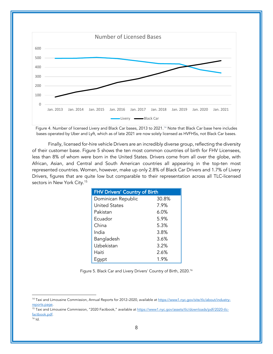

Figure 4. Number of licensed Livery and Black Car bases, 2013 to 2021. <sup>14</sup> Note that Black Car base here includes bases operated by Uber and Lyft, which as of late 2021 are now solely licensed as HVFHSs, not Black Car bases.

Finally, licensed for-hire vehicle Drivers are an incredibly diverse group, reflecting the diversity of their customer base. Figure 5 shows the ten most common countries of birth for FHV Licensees, less than 8% of whom were born in the United States. Drivers come from all over the globe, with African, Asian, and Central and South American countries all appearing in the top-ten most represented countries. Women, however, make up only 2.8% of Black Car Drivers and 1.7% of Livery Drivers, figures that are quite low but comparable to their representation across all TLC-licensed sectors in New York City.<sup>15</sup>

| <b>FHV Drivers' Country of Birth</b> |       |
|--------------------------------------|-------|
| Dominican Republic                   | 30.8% |
| <b>United States</b>                 | 7.9%  |
| Pakistan                             | 6.0%  |
| Ecuador                              | 5.9%  |
| China                                | 5.3%  |
| India                                | 3.8%  |
| Bangladesh                           | 3.6%  |
| Uzbekistan                           | 3.2%  |
| Haiti                                | 2.6%  |
| Egypt                                | 1.9%  |

Figure 5. Black Car and Livery Drivers' Country of Birth, 2020.16

<sup>15</sup> Taxi and Limousine Commission, "2020 Factbook," available at https://www1.nyc.gov/assets/tlc/downloads/pdf/2020-tlcfactbook.pdf.

<sup>&</sup>lt;sup>14</sup> Taxi and Limousine Commission, Annual Reports for 2012-2020, available at https://www1.nyc.gov/site/tlc/about/industryreports.page.

 $16$  Id.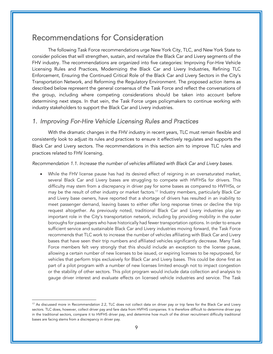## Recommendations for Consideration

The following Task Force recommendations urge New York City, TLC, and New York State to consider policies that will strengthen, sustain, and revitalize the Black Car and Livery segments of the FHV industry. The recommendations are organized into five categories: Improving For-Hire Vehicle Licensing Rules and Practices, Modernizing the Black Car and Livery Industries, Refining TLC Enforcement, Ensuring the Continued Critical Role of the Black Car and Livery Sectors in the City's Transportation Network, and Reforming the Regulatory Environment. The proposed action items as described below represent the general consensus of the Task Force and reflect the conversations of the group, including where competing considerations should be taken into account before determining next steps. In that vein, the Task Force urges policymakers to continue working with industry stakeholders to support the Black Car and Livery industries.

## *1. Improving For-Hire Vehicle Licensing Rules and Practices*

With the dramatic changes in the FHV industry in recent years, TLC must remain flexible and consistently look to adjust its rules and practices to ensure it effectively regulates and supports the Black Car and Livery sectors. The recommendations in this section aim to improve TLC rules and practices related to FHV licensing.

#### *Recommendation 1.1. Increase the number of vehicles affiliated with Black Car and Livery bases.*

• While the FHV license pause has had its desired effect of reigning in an oversaturated market, several Black Car and Livery bases are struggling to compete with HVFHSs for drivers. This difficulty may stem from a discrepancy in driver pay for some bases as compared to HVFHSs, or may be the result of other industry or market factors.<sup>17</sup> Industry members, particularly Black Car and Livery base owners, have reported that a shortage of drivers has resulted in an inability to meet passenger demand, leaving bases to either offer long response times or decline the trip request altogether. As previously noted, traditional Black Car and Livery industries play an important role in the City's transportation network, including by providing mobility in the outer boroughs for passengers who have historically had fewer transportation options. In order to ensure sufficient service and sustainable Black Car and Livery industries moving forward, the Task Force recommends that TLC work to increase the number of vehicles affiliating with Black Car and Livery bases that have seen their trip numbers and affiliated vehicles significantly decrease. Many Task Force members felt very strongly that this should include an exception to the license pause, allowing a certain number of new licenses to be issued, or expiring licenses to be repurposed, for vehicles that perform trips exclusively for Black Car and Livery bases. This could be done first as part of a pilot program with a number of new licenses limited enough not to impact congestion or the stability of other sectors. This pilot program would include data collection and analysis to gauge driver interest and evaluate effects on licensed vehicle industries and service. The Task

 $17$  As discussed more in Recommendation 2.2, TLC does not collect data on driver pay or trip fares for the Black Car and Livery sectors. TLC does, however, collect driver pay and fare data from HVFHS companies. It is therefore difficult to determine driver pay in the traditional sectors, compare it to HVFHS driver pay, and determine how much of the driver recruitment difficulty traditional bases are facing stems from a discrepancy in driver pay.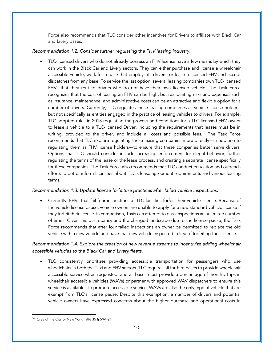Force also recommends that TLC consider other incentives for Drivers to affiliate with Black Car and Livery bases.

### *Recommendation 1.2. Consider further regulating the FHV leasing industry.*

• TLC-licensed drivers who do not already possess an FHV license have a few means by which they can work in the Black Car and Livery sectors. They can either purchase and license a wheelchair accessible vehicle, work for a base that employs its drivers, or lease a licensed FHV and accept dispatches from any base. To service the last option, several leasing companies own TLC-licensed FHVs that they rent to drivers who do not have their own licensed vehicle. The Task Force recognizes that the cost of leasing an FHV can be high, but reallocating risks and expenses such as insurance, maintenance, and administrative costs can be an attractive and flexible option for a number of drivers. Currently, TLC regulates these leasing companies as vehicle license holders, but not specifically as entities engaged in the practice of leasing vehicles to drivers. For example, TLC adopted rules in 2018 regulating the process and conditions for a TLC-licensed FHV owner to lease a vehicle to a TLC-licensed Driver, including the requirements that leases must be in writing, provided to the driver, and include all costs and possible fees.<sup>18</sup> The Task Force recommends that TLC explore regulating these leasing companies more directly—in addition to regulating them as FHV license holders—to ensure that these companies better serve drivers. Options that TLC should consider include increasing enforcement for illegal behavior, further regulating the terms of the lease or the lease process, and creating a separate license specifically for these companies. The Task Force also recommends that TLC conduct education and outreach efforts to better inform licensees about TLC's lease agreement requirements and various leasing terms.

### *Recommendation 1.3. Update license forfeiture practices after failed vehicle inspections.*

• Currently, FHVs that fail four inspections at TLC facilities forfeit their vehicle license. Because of the vehicle license pause, vehicle owners are unable to apply for a new standard vehicle license if they forfeit their license. In comparison, Taxis can attempt to pass inspections an unlimited number of times. Given this discrepancy and the changed landscape due to the license pause, the Task Force recommends that after four failed inspections an owner be permitted to replace the old vehicle with a new vehicle and have that new vehicle inspected in lieu of forfeiting their license.

*Recommendation 1.4. Explore the creation of new revenue streams to incentivize adding wheelchair accessible vehicles to the Black Car and Livery fleets.*

• TLC consistently prioritizes providing accessible transportation for passengers who use wheelchairs in both the Taxi and FHV sectors. TLC requires all for-hire bases to provide wheelchair accessible service when requested, and all bases must provide a percentage of monthly trips in wheelchair accessible vehicles (WAVs) or partner with approved WAV dispatchers to ensure this service is available. To promote accessible service, WAVs are also the only type of vehicle that are exempt from TLC's license pause. Despite this exemption, a number of drivers and potential vehicle owners have expressed concerns about the higher purchase and operational costs in

<sup>&</sup>lt;sup>18</sup> Rules of the City of New York, Title 35 § 59A-21.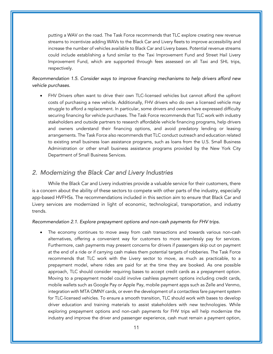putting a WAV on the road. The Task Force recommends that TLC explore creating new revenue streams to incentivize adding WAVs to the Black Car and Livery fleets to improve accessibility and increase the number of vehicles available to Black Car and Livery bases. Potential revenue streams could include establishing a fund similar to the Taxi Improvement Fund and Street Hail Livery Improvement Fund, which are supported through fees assessed on all Taxi and SHL trips, respectively.

*Recommendation 1.5. Consider ways to improve financing mechanisms to help drivers afford new vehicle purchases.*

• FHV Drivers often want to drive their own TLC-licensed vehicles but cannot afford the upfront costs of purchasing a new vehicle. Additionally, FHV drivers who do own a licensed vehicle may struggle to afford a replacement. In particular, some drivers and owners have expressed difficulty securing financing for vehicle purchases. The Task Force recommends that TLC work with industry stakeholders and outside partners to research affordable vehicle financing programs, help drivers and owners understand their financing options, and avoid predatory lending or leasing arrangements. The Task Force also recommends that TLC conduct outreach and education related to existing small business loan assistance programs, such as loans from the U.S. Small Business Administration or other small business assistance programs provided by the New York City Department of Small Business Services.

## *2. Modernizing the Black Car and Livery Industries*

While the Black Car and Livery industries provide a valuable service for their customers, there is a concern about the ability of these sectors to compete with other parts of the industry, especially app-based HVFHSs. The recommendations included in this section aim to ensure that Black Car and Livery services are modernized in light of economic, technological, transportation, and industry trends.

#### *Recommendation 2.1. Explore prepayment options and non-cash payments for FHV trips.*

The economy continues to move away from cash transactions and towards various non-cash alternatives, offering a convenient way for customers to more seamlessly pay for services. Furthermore, cash payments may present concerns for drivers if passengers skip out on payment at the end of a ride or if carrying cash makes them potential targets of robberies. The Task Force recommends that TLC work with the Livery sector to move, as much as practicable, to a prepayment model, where rides are paid for at the time they are booked. As one possible approach, TLC should consider requiring bases to accept credit cards as a prepayment option. Moving to a prepayment model could involve cashless payment options including credit cards, mobile wallets such as Google Pay or Apple Pay, mobile payment apps such as Zelle and Venmo, integration with MTA OMNY cards, or even the development of a contactless fare payment system for TLC-licensed vehicles. To ensure a smooth transition, TLC should work with bases to develop driver education and training materials to assist stakeholders with new technologies. While exploring prepayment options and non-cash payments for FHV trips will help modernize the industry and improve the driver and passenger experience, cash must remain a payment option,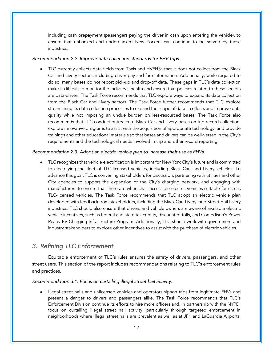including cash prepayment (passengers paying the driver in cash upon entering the vehicle), to ensure that unbanked and underbanked New Yorkers can continue to be served by these industries.

*Recommendation 2.2. Improve data collection standards for FHV trips.* 

• TLC currently collects data fields from Taxis and HVFHSs that it does not collect from the Black Car and Livery sectors, including driver pay and fare information. Additionally, while required to do so, many bases do not report pick-up and drop-off data. These gaps in TLC's data collection make it difficult to monitor the industry's health and ensure that policies related to these sectors are data-driven. The Task Force recommends that TLC explore ways to expand its data collection from the Black Car and Livery sectors. The Task Force further recommends that TLC explore streamlining its data collection processes to expand the scope of data it collects and improve data quality while not imposing an undue burden on less-resourced bases. The Task Force also recommends that TLC conduct outreach to Black Car and Livery bases on trip record collection, explore innovative programs to assist with the acquisition of appropriate technology, and provide trainings and other educational materials so that bases and drivers can be well-versed in the City's requirements and the technological needs involved in trip and other record reporting.

#### *Recommendation 2.3. Adopt an electric vehicle plan to increase their use as FHVs.*

• TLC recognizes that vehicle electrification is important for New York City's future and is committed to electrifying the fleet of TLC-licensed vehicles, including Black Cars and Livery vehicles. To advance this goal, TLC is convening stakeholders for discussion, partnering with utilities and other City agencies to support the expansion of the City's charging network, and engaging with manufacturers to ensure that there are wheelchair-accessible electric vehicles suitable for use as TLC-licensed vehicles. The Task Force recommends that TLC adopt an electric vehicle plan developed with feedback from stakeholders, including the Black Car, Livery, and Street Hail Livery industries. TLC should also ensure that drivers and vehicle owners are aware of available electric vehicle incentives, such as federal and state tax credits, discounted tolls, and Con Edison's Power Ready EV Charging Infrastructure Program. Additionally, TLC should work with government and industry stakeholders to explore other incentives to assist with the purchase of electric vehicles.

## *3. Refining TLC Enforcement*

Equitable enforcement of TLC's rules ensures the safety of drivers, passengers, and other street users. This section of the report includes recommendations relating to TLC's enforcement rules and practices.

*Recommendation 3.1. Focus on curtailing illegal street hail activity.*

• Illegal street hails and unlicensed vehicles and operators siphon trips from legitimate FHVs and present a danger to drivers and passengers alike. The Task Force recommends that TLC's Enforcement Division continue its efforts to hire more officers and, in partnership with the NYPD, focus on curtailing illegal street hail activity, particularly through targeted enforcement in neighborhoods where illegal street hails are prevalent as well as at JFK and LaGuardia Airports.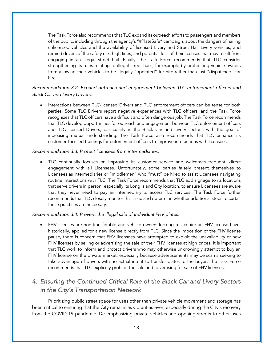The Task Force also recommends that TLC expand its outreach efforts to passengers and members of the public, including through the agency's "#PlateSafe" campaign, about the dangers of hailing unlicensed vehicles and the availability of licensed Livery and Street Hail Livery vehicles, and remind drivers of the safety risk, high fines, and potential loss of their licenses that may result from engaging in an illegal street hail. Finally, the Task Force recommends that TLC consider strengthening its rules relating to illegal street hails, for example by prohibiting vehicle owners from allowing their vehicles to be illegally "operated" for hire rather than just "dispatched" for hire.

### *Recommendation 3.2. Expand outreach and engagement between TLC enforcement officers and Black Car and Livery Drivers.*

• Interactions between TLC-licensed Drivers and TLC enforcement officers can be tense for both parties. Some TLC Drivers report negative experiences with TLC officers, and the Task Force recognizes that TLC officers have a difficult and often dangerous job. The Task Force recommends that TLC develop opportunities for outreach and engagement between TLC enforcement officers and TLC-licensed Drivers, particularly in the Black Car and Livery sectors, with the goal of increasing mutual understanding. The Task Force also recommends that TLC enhance its customer-focused trainings for enforcement officers to improve interactions with licensees.

#### *Recommendation 3.3. Protect licensees from intermediaries.*

• TLC continually focuses on improving its customer service and welcomes frequent, direct engagement with all Licensees. Unfortunately, some parties falsely present themselves to Licensees as intermediaries or "middlemen" who "must" be hired to assist Licensees navigating routine interactions with TLC. The Task Force recommends that TLC add signage to its locations that serve drivers in person, especially its Long Island City location, to ensure Licensees are aware that they never need to pay an intermediary to access TLC services. The Task Force further recommends that TLC closely monitor this issue and determine whether additional steps to curtail these practices are necessary.

#### *Recommendation 3.4. Prevent the illegal sale of individual FHV plates.*

• FHV licenses are non-transferable and vehicle owners looking to acquire an FHV license have, historically, applied for a new license directly from TLC. Since the imposition of the FHV license pause, there is concern that FHV licensees have attempted to exploit the unavailability of new FHV licenses by selling or advertising the sale of their FHV licenses at high prices. It is important that TLC work to inform and protect drivers who may otherwise unknowingly attempt to buy an FHV license on the private market, especially because advertisements may be scams seeking to take advantage of drivers with no actual intent to transfer plates to the buyer. The Task Force recommends that TLC explicitly prohibit the sale and advertising for sale of FHV licenses.

## *4. Ensuring the Continued Critical Role of the Black Car and Livery Sectors in the City's Transportation Network*

Prioritizing public street space for uses other than private vehicle movement and storage has been critical to ensuring that the City remains as vibrant as ever, especially during the City's recovery from the COVID-19 pandemic. De-emphasizing private vehicles and opening streets to other uses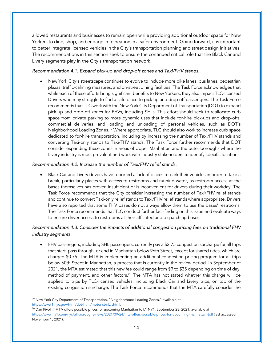allowed restaurants and businesses to remain open while providing additional outdoor space for New Yorkers to dine, shop, and engage in recreation in a safer environment. Going forward, it is important to better integrate licensed vehicles in the City's transportation planning and street design initiatives. The recommendations in this section seek to ensure the continued critical role that the Black Car and Livery segments play in the City's transportation network.

### *Recommendation 4.1. Expand pick-up and drop-off zones and Taxi/FHV stands.*

• New York City's streetscape continues to evolve to include more bike lanes, bus lanes, pedestrian plazas, traffic-calming measures, and on-street dining facilities. The Task Force acknowledges that while each of these efforts bring significant benefits to New Yorkers, they also impact TLC-licensed Drivers who may struggle to find a safe place to pick up and drop off passengers. The Task Force recommends that TLC work with the New York City Department of Transportation (DOT) to expand pick-up and drop-off zones for FHVs, including SHLs. This effort should seek to reallocate curb space from private parking to more dynamic uses that include for-hire pick-ups and drop-offs, commercial deliveries, and loading and unloading of personal vehicles, such as DOT's Neighborhood Loading Zones.<sup>19</sup> Where appropriate, TLC should also work to increase curb space dedicated to for-hire transportation, including by increasing the number of Taxi/FHV stands and converting Taxi-only stands to Taxi/FHV stands. The Task Force further recommends that DOT consider expanding these zones in areas of Upper Manhattan and the outer boroughs where the Livery industry is most prevalent and work with industry stakeholders to identify specific locations.

#### *Recommendation 4.2. Increase the number of Taxi/FHV relief stands.*

• Black Car and Livery drivers have reported a lack of places to park their vehicles in order to take a break, particularly places with access to restrooms and running water, as restroom access at the bases themselves has proven insufficient or is inconvenient for drivers during their workday. The Task Force recommends that the City consider increasing the number of Taxi/FHV relief stands and continue to convert Taxi-only relief stands to Taxi/FHV relief stands where appropriate. Drivers have also reported that some FHV bases do not always allow them to use the bases' restrooms. The Task Force recommends that TLC conduct further fact-finding on this issue and evaluate ways to ensure driver access to restrooms at their affiliated and dispatching bases.

## *Recommendation 4.3. Consider the impacts of additional congestion pricing fees on traditional FHV industry segments.*

• FHV passengers, including SHL passengers, currently pay a \$2.75 congestion surcharge for all trips that start, pass through, or end in Manhattan below 96th Street, except for shared rides, which are charged \$0.75. The MTA is implementing an additional congestion pricing program for all trips below 60th Street in Manhattan, a process that is currently in the review period. In September of 2021, the MTA estimated that this new fee could range from \$9 to \$35 depending on time of day, method of payment, and other factors.<sup>20</sup> The MTA has not stated whether this charge will be applied to trips by TLC-licensed vehicles, including Black Car and Livery trips, on top of the existing congestion surcharge. The Task Force recommends that the MTA carefully consider the

<sup>&</sup>lt;sup>19</sup> New York City Department of Transportation, "Neighborhood Loading Zones," available at https://www1.nyc.gov/html/dot/html/motorist/nlz.shtml.

 $^{20}$  Dan Rivoli, "MTA offers possible prices for upcoming Manhattan toll," NY1, September 23, 2021, available at https://www.ny1.com/nyc/all-boroughs/news/2021/09/24/mta-offers-possible-prices-for-upcoming-manhattan-toll (last accessed November 1, 2021).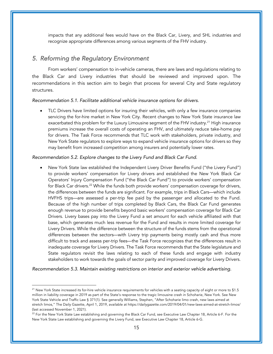impacts that any additional fees would have on the Black Car, Livery, and SHL industries and recognize appropriate differences among various segments of the FHV industry.

## *5. Reforming the Regulatory Environment*

From workers' compensation to in-vehicle cameras, there are laws and regulations relating to the Black Car and Livery industries that should be reviewed and improved upon. The recommendations in this section aim to begin that process for several City and State regulatory structures.

#### *Recommendation 5.1. Facilitate additional vehicle insurance options for drivers.*

• TLC Drivers have limited options for insuring their vehicles, with only a few insurance companies servicing the for-hire market in New York City. Recent changes to New York State insurance law exacerbated this problem for the Luxury Limousine segment of the FHV industry.<sup>21</sup> High insurance premiums increase the overall costs of operating an FHV, and ultimately reduce take-home pay for drivers. The Task Force recommends that TLC work with stakeholders, private industry, and New York State regulators to explore ways to expand vehicle insurance options for drivers so they may benefit from increased competition among insurers and potentially lower rates.

#### *Recommendation 5.2. Explore changes to the Livery Fund and Black Car Fund.*

• New York State law established the Independent Livery Driver Benefits Fund ("the Livery Fund") to provide workers' compensation for Livery drivers and established the New York Black Car Operators' Injury Compensation Fund ("the Black Car Fund") to provide workers' compensation for Black Car drivers.<sup>22</sup> While the funds both provide workers' compensation coverage for drivers, the differences between the funds are significant. For example, trips in Black Cars—which include HVFHS trips—are assessed a per-trip fee paid by the passenger and allocated to the Fund. Because of the high number of trips completed by Black Cars, the Black Car Fund generates enough revenue to provide benefits beyond basic workers' compensation coverage for Black Car Drivers. Livery bases pay into the Livery Fund a set amount for each vehicle affiliated with that base, which generates much less revenue for the Fund and results in more limited coverage for Livery Drivers. While the difference between the structure of the funds stems from the operational differences between the sectors—with Livery trip payments being mostly cash and thus more difficult to track and assess per-trip fees—the Task Force recognizes that the differences result in inadequate coverage for Livery Drivers. The Task Force recommends that the State legislature and State regulators revisit the laws relating to each of these funds and engage with industry stakeholders to work towards the goals of sector parity and improved coverage for Livery Drivers.

*Recommendation 5.3. Maintain existing restrictions on interior and exterior vehicle advertising.*

<sup>&</sup>lt;sup>21</sup> New York State increased its for-hire vehicle insurance requirements for vehicles with a seating capacity of eight or more to \$1.5 million in liability coverage in 2019 as part of the State's response to the tragic limousine crash in Schoharie, New York. See New York State Vehicle and Traffic Law § 371(1). See generally Williams, Stephen, "After Schoharie limo crash, new laws aimed at stretch limos," The Daily Gazette, April 1, 2019, available at https://dailygazette.com/2019/04/01/new-laws-aimed-at-stretch-limos/ (last accessed November 1, 2021).

<sup>&</sup>lt;sup>22</sup> For the New York State Law establishing and governing the Black Car Fund, see Executive Law Chapter 18, Article 6-F. For the New York State Law establishing and governing the Livery Fund, see Executive Law Chapter 18, Article 6-G.